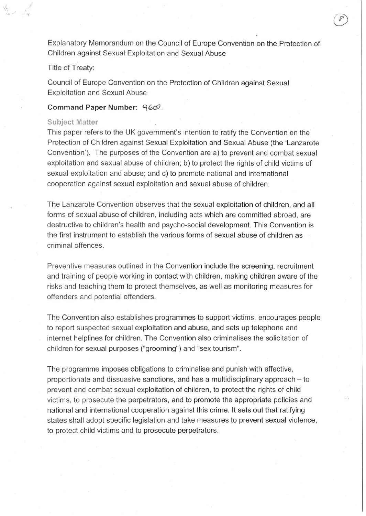Explanatory Memorandum on the Council of Europe Convention on the Protection of Children against Sexual Exploitation and Sexual Abuse

Title of Treaty:

Council of Europe Convention on the Protection of Children against Sexual Exploitation and Sexual Abuse

**Command Paper Number:** *°i***602-**

#### **Subject Matter**

This paper refers to the UK government's intention to ratify the Convention on the Protection of Children against Sexual Exploitation and Sexual Abuse (the 'Lanzarote Convention'). The purposes of the Convention are a) to prevent and combat sexual exploitation and sexual abuse of children; b) to protect the rights of child victims of sexual exploitation and abuse; and c) to promote national and international cooperation against sexual exploitation and sexual abuse of children.

The Lanzarote Convention observes that the sexual exploitation of children, and all forms of sexual abuse of children, including acts which are committed abroad, are destructive to children's health and psycho-social development. This Convention is the first instrument to establish the various forms of sexual abuse of children as criminal offences.

Preventive measures outlined in the Convention include the screening, recruitment and training of people working in contact with children, making children aware of the risks and teaching them to protect themselves, as well as monitoring measures for offenders and potential offenders.

The Convention also establishes programmes to support victims, encourages people to report suspected sexual exploitation and abuse, and sets up telephone and internet helplines for children. The Convention also criminalises the solicitation of children for sexual purposes ("grooming") and "sex tourism".

The programme imposes obligations to criminalise and punish with effective, proportionate and dissuasive sanctions, and has a multidisciplinary approach – to prevent and combat sexual exploitation of children, to protect the rights of child victims, to prosecute the perpetrators, and to promote the appropriate policies and national and international cooperation against this crime. It sets out that ratifying states shall adopt specific legislation and take measures to prevent sexual violence, to protect child victims and to prosecute perpetrators.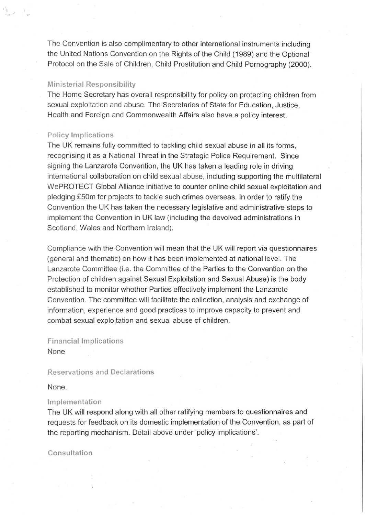The Convention is also complimentary to other international instruments including the United Nations Convention on the Rights of the Child (1989) and the Optional Protocol on the Sale of Children, Child Prostitution and Child Pornography (2000).

## **Ministerial Responsibility**

The Home Secretary has overall responsibility for policy on protecting children from sexual exploitation and abuse. The Secretaries of State for Education, Justice, Health and Foreign and Commonwealth Affairs also have a policy interest.

# **Policy Implications**

The UK remains fully committed to tackling child sexual abuse in all its forms, recognising it as a National Threat in the Strategic Police Requirement. Since signing the Lanzarote Convention, the UK has taken a leading role in driving international collaboration on child sexual abuse, including supporting the multilateral WePROTECT Global Alliance initiative to counter online child sexual exploitation and pledging £50m for projects to tackle such crimes overseas. In order to ratify the Convention the UK has taken the necessary legislative and administrative steps to implement the Convention in UK law (including the devolved administrations in Scotland, Wales and Northern Ireland).

Compliance with the Convention will mean that the UK will report via questionnaires (general and thematic) on how it has been implemented at national level. The Lanzarote Committee (i.e. the Committee of the Parties to the Convention on the Protection of children against Sexual Exploitation and Sexual Abuse) is the body established to monitor whether Parties effectively implement the Lanzarote Convention. The committee will facilitate the collection, analysis and exchange of information, experience and good practices to improve capacity to prevent and combat sexual exploitation and sexual abuse of children.

**Financial Implications** None

## **Reservations and Declarations**

None.

### **Implementation**

The UK will respond along with all other ratifying members to questionnaires and requests for feedback on its domestic implementation of the Convention, as part of the reporting mechanism. Detail above under'policy implications'.

**Consultation**